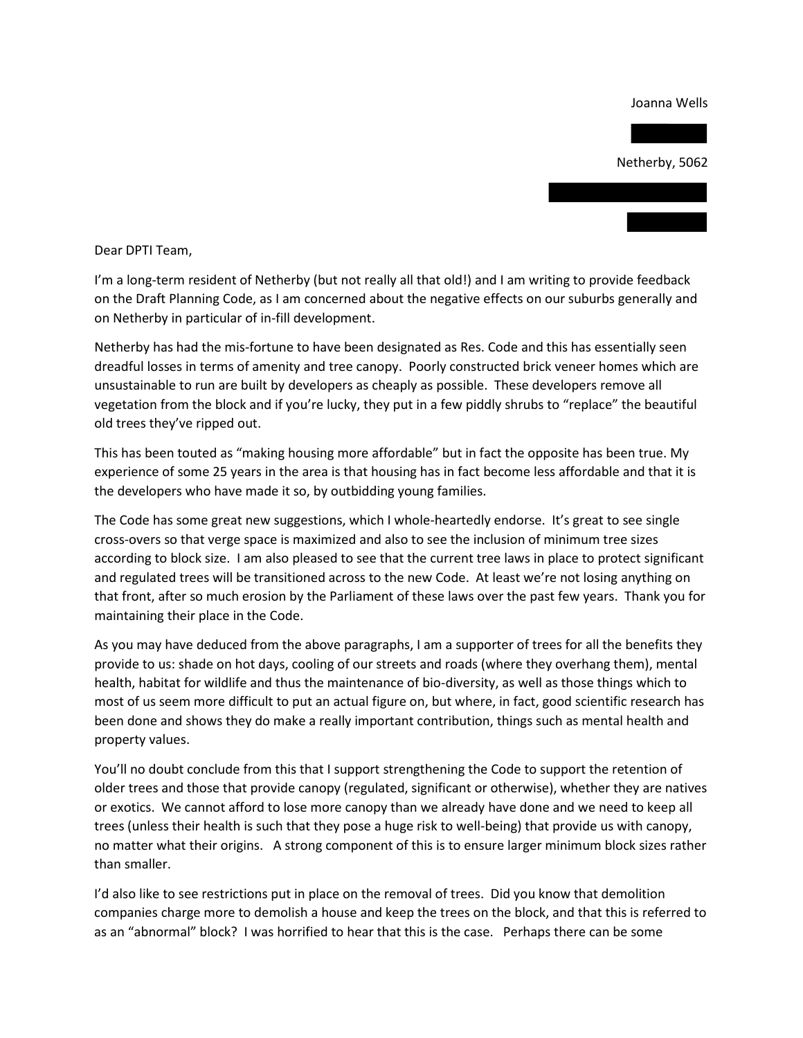Joanna Wells

Netherby, 5062

Dear DPTI Team,

I'm a long-term resident of Netherby (but not really all that old!) and I am writing to provide feedback on the Draft Planning Code, as I am concerned about the negative effects on our suburbs generally and on Netherby in particular of in-fill development.

Netherby has had the mis-fortune to have been designated as Res. Code and this has essentially seen dreadful losses in terms of amenity and tree canopy. Poorly constructed brick veneer homes which are unsustainable to run are built by developers as cheaply as possible. These developers remove all vegetation from the block and if you're lucky, they put in a few piddly shrubs to "replace" the beautiful old trees they've ripped out.

This has been touted as "making housing more affordable" but in fact the opposite has been true. My experience of some 25 years in the area is that housing has in fact become less affordable and that it is the developers who have made it so, by outbidding young families.

The Code has some great new suggestions, which I whole-heartedly endorse. It's great to see single cross-overs so that verge space is maximized and also to see the inclusion of minimum tree sizes according to block size. I am also pleased to see that the current tree laws in place to protect significant and regulated trees will be transitioned across to the new Code. At least we're not losing anything on that front, after so much erosion by the Parliament of these laws over the past few years. Thank you for maintaining their place in the Code.

As you may have deduced from the above paragraphs, I am a supporter of trees for all the benefits they provide to us: shade on hot days, cooling of our streets and roads (where they overhang them), mental health, habitat for wildlife and thus the maintenance of bio-diversity, as well as those things which to most of us seem more difficult to put an actual figure on, but where, in fact, good scientific research has been done and shows they do make a really important contribution, things such as mental health and property values.

You'll no doubt conclude from this that I support strengthening the Code to support the retention of older trees and those that provide canopy (regulated, significant or otherwise), whether they are natives or exotics. We cannot afford to lose more canopy than we already have done and we need to keep all trees (unless their health is such that they pose a huge risk to well-being) that provide us with canopy, no matter what their origins. A strong component of this is to ensure larger minimum block sizes rather than smaller.

I'd also like to see restrictions put in place on the removal of trees. Did you know that demolition companies charge more to demolish a house and keep the trees on the block, and that this is referred to as an "abnormal" block? I was horrified to hear that this is the case. Perhaps there can be some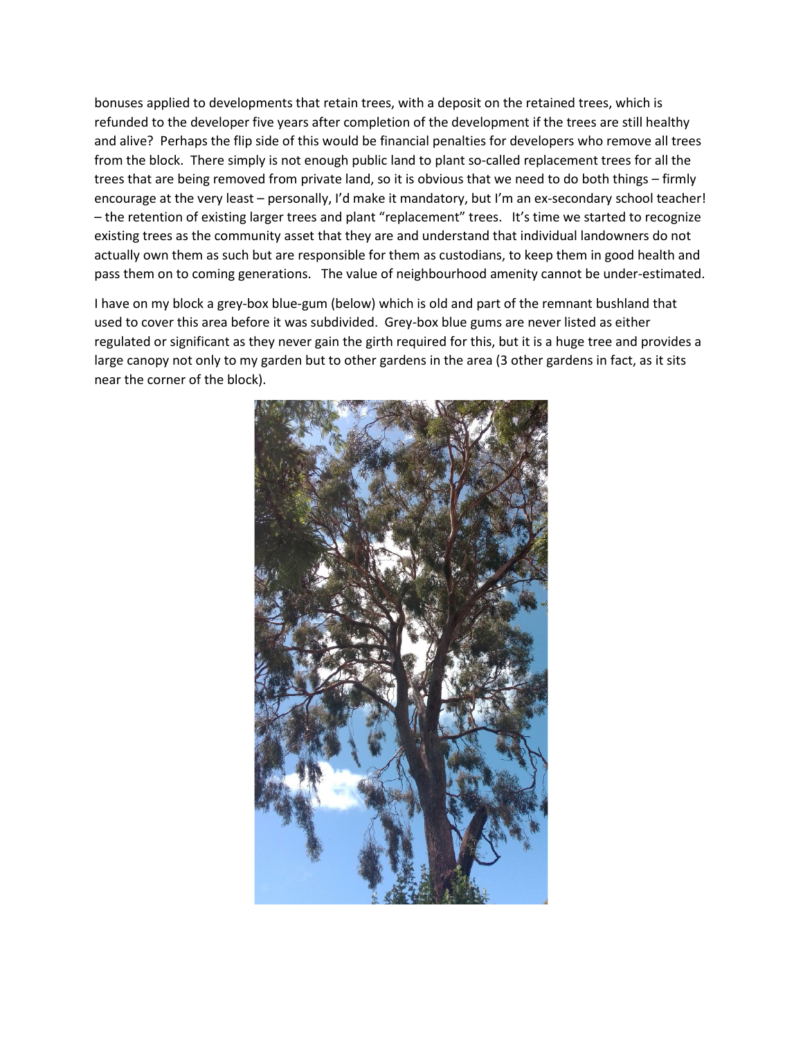bonuses applied to developments that retain trees, with a deposit on the retained trees, which is refunded to the developer five years after completion of the development if the trees are still healthy and alive? Perhaps the flip side of this would be financial penalties for developers who remove all trees from the block. There simply is not enough public land to plant so-called replacement trees for all the trees that are being removed from private land, so it is obvious that we need to do both things – firmly encourage at the very least – personally, I'd make it mandatory, but I'm an ex-secondary school teacher! – the retention of existing larger trees and plant "replacement" trees. It's time we started to recognize existing trees as the community asset that they are and understand that individual landowners do not actually own them as such but are responsible for them as custodians, to keep them in good health and pass them on to coming generations. The value of neighbourhood amenity cannot be under-estimated.

I have on my block a grey-box blue-gum (below) which is old and part of the remnant bushland that used to cover this area before it was subdivided. Grey-box blue gums are never listed as either regulated or significant as they never gain the girth required for this, but it is a huge tree and provides a large canopy not only to my garden but to other gardens in the area (3 other gardens in fact, as it sits near the corner of the block).

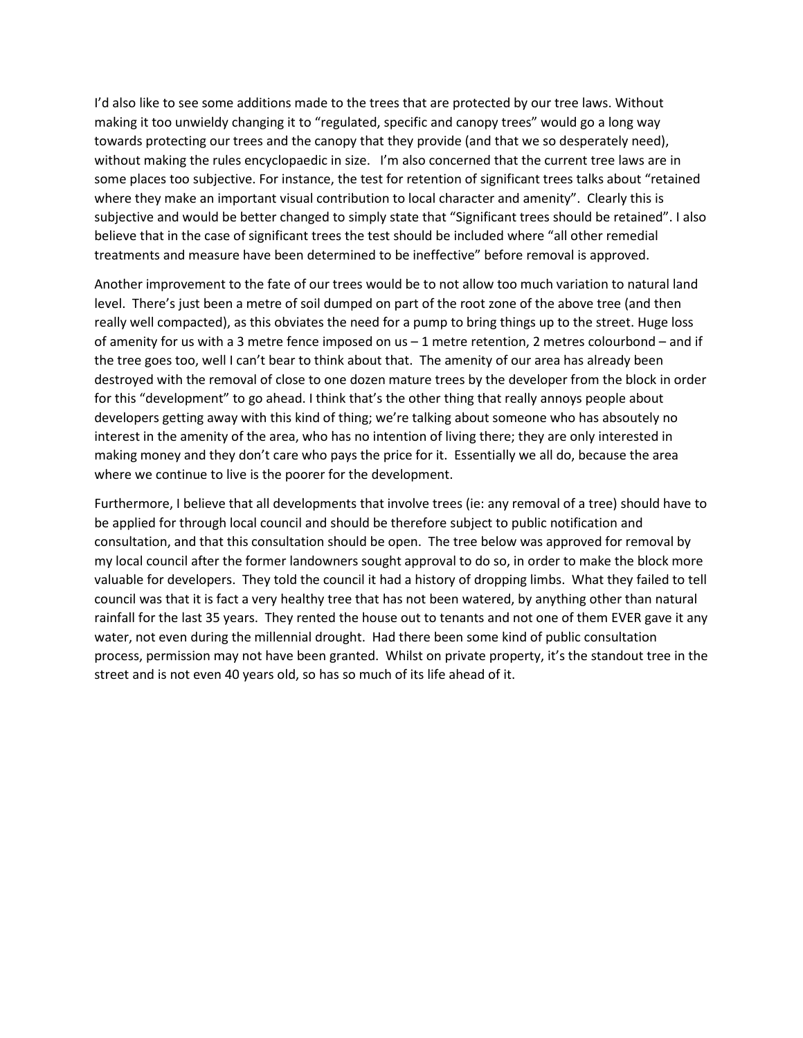I'd also like to see some additions made to the trees that are protected by our tree laws. Without making it too unwieldy changing it to "regulated, specific and canopy trees" would go a long way towards protecting our trees and the canopy that they provide (and that we so desperately need), without making the rules encyclopaedic in size. I'm also concerned that the current tree laws are in some places too subjective. For instance, the test for retention of significant trees talks about "retained where they make an important visual contribution to local character and amenity". Clearly this is subjective and would be better changed to simply state that "Significant trees should be retained". I also believe that in the case of significant trees the test should be included where "all other remedial treatments and measure have been determined to be ineffective" before removal is approved.

Another improvement to the fate of our trees would be to not allow too much variation to natural land level. There's just been a metre of soil dumped on part of the root zone of the above tree (and then really well compacted), as this obviates the need for a pump to bring things up to the street. Huge loss of amenity for us with a 3 metre fence imposed on us – 1 metre retention, 2 metres colourbond – and if the tree goes too, well I can't bear to think about that. The amenity of our area has already been destroyed with the removal of close to one dozen mature trees by the developer from the block in order for this "development" to go ahead. I think that's the other thing that really annoys people about developers getting away with this kind of thing; we're talking about someone who has absoutely no interest in the amenity of the area, who has no intention of living there; they are only interested in making money and they don't care who pays the price for it. Essentially we all do, because the area where we continue to live is the poorer for the development.

Furthermore, I believe that all developments that involve trees (ie: any removal of a tree) should have to be applied for through local council and should be therefore subject to public notification and consultation, and that this consultation should be open. The tree below was approved for removal by my local council after the former landowners sought approval to do so, in order to make the block more valuable for developers. They told the council it had a history of dropping limbs. What they failed to tell council was that it is fact a very healthy tree that has not been watered, by anything other than natural rainfall for the last 35 years. They rented the house out to tenants and not one of them EVER gave it any water, not even during the millennial drought. Had there been some kind of public consultation process, permission may not have been granted. Whilst on private property, it's the standout tree in the street and is not even 40 years old, so has so much of its life ahead of it.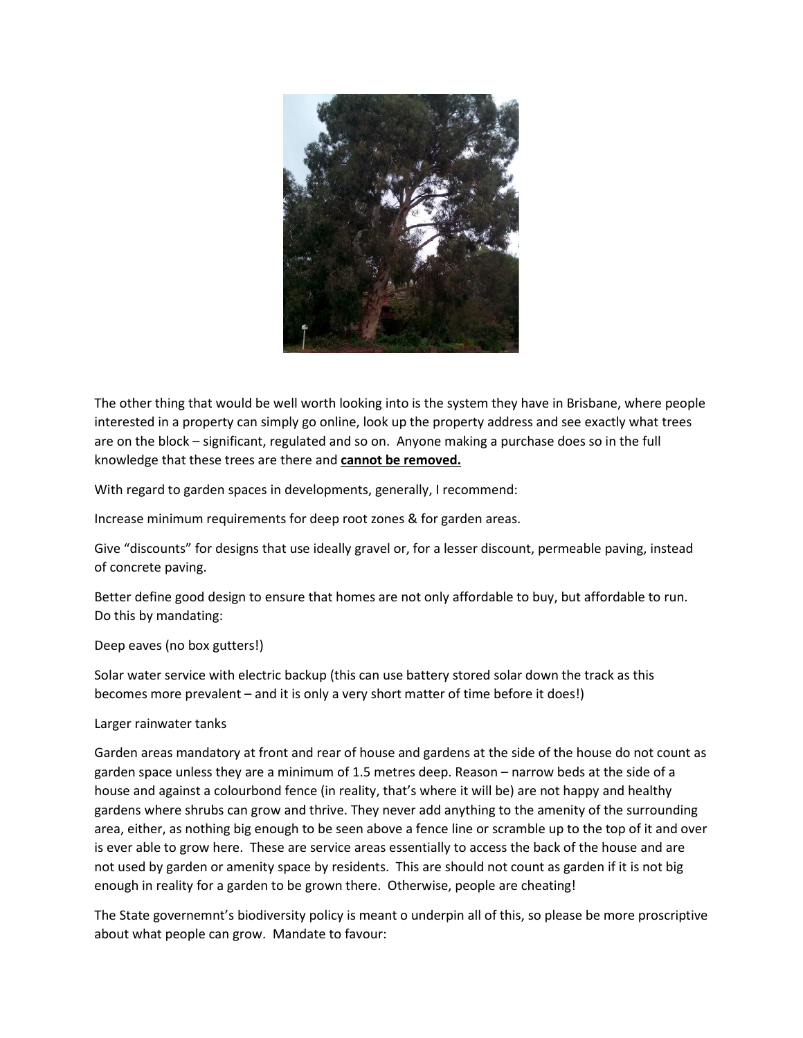

The other thing that would be well worth looking into is the system they have in Brisbane, where people interested in a property can simply go online, look up the property address and see exactly what trees are on the block – significant, regulated and so on. Anyone making a purchase does so in the full knowledge that these trees are there and **cannot be removed.**

With regard to garden spaces in developments, generally, I recommend:

Increase minimum requirements for deep root zones & for garden areas.

Give "discounts" for designs that use ideally gravel or, for a lesser discount, permeable paving, instead of concrete paving.

Better define good design to ensure that homes are not only affordable to buy, but affordable to run. Do this by mandating:

Deep eaves (no box gutters!)

Solar water service with electric backup (this can use battery stored solar down the track as this becomes more prevalent – and it is only a very short matter of time before it does!)

## Larger rainwater tanks

Garden areas mandatory at front and rear of house and gardens at the side of the house do not count as garden space unless they are a minimum of 1.5 metres deep. Reason – narrow beds at the side of a house and against a colourbond fence (in reality, that's where it will be) are not happy and healthy gardens where shrubs can grow and thrive. They never add anything to the amenity of the surrounding area, either, as nothing big enough to be seen above a fence line or scramble up to the top of it and over is ever able to grow here. These are service areas essentially to access the back of the house and are not used by garden or amenity space by residents. This are should not count as garden if it is not big enough in reality for a garden to be grown there. Otherwise, people are cheating!

The State governemnt's biodiversity policy is meant o underpin all of this, so please be more proscriptive about what people can grow. Mandate to favour: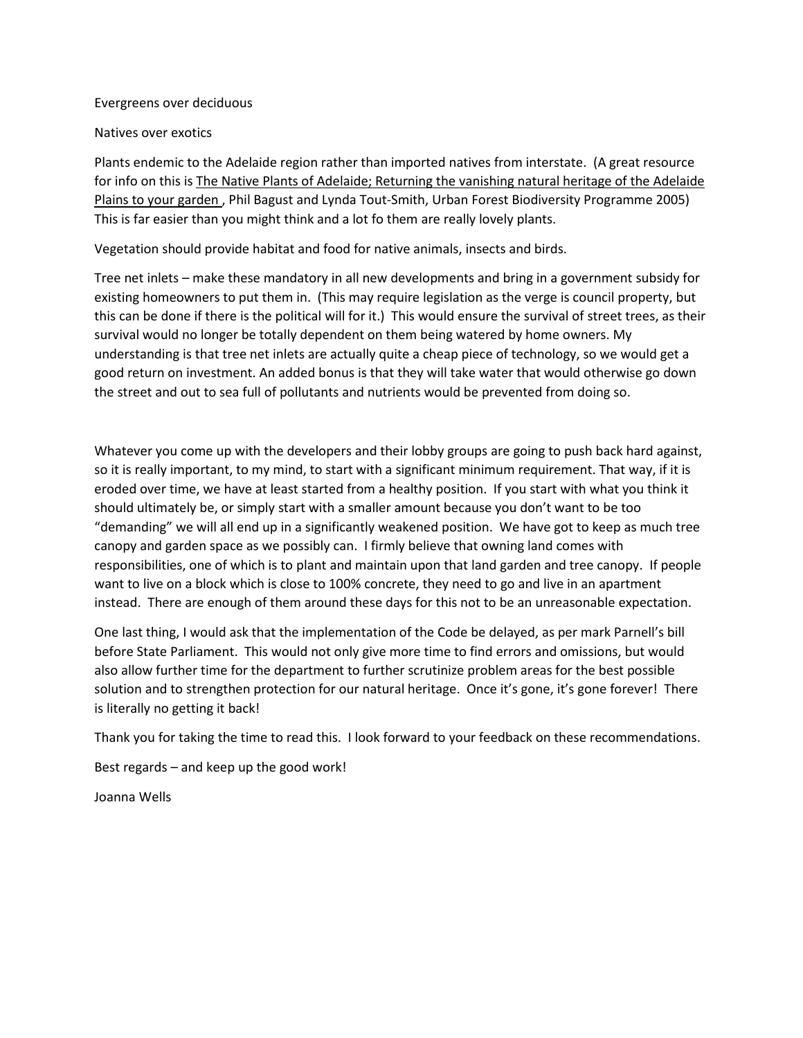## Evergreens over deciduous

## Natives over exotics

Plants endemic to the Adelaide region rather than imported natives from interstate. (A great resource for info on this is The Native Plants of Adelaide; Returning the vanishing natural heritage of the Adelaide Plains to your garden , Phil Bagust and Lynda Tout-Smith, Urban Forest Biodiversity Programme 2005) This is far easier than you might think and a lot fo them are really lovely plants.

Vegetation should provide habitat and food for native animals, insects and birds.

Tree net inlets – make these mandatory in all new developments and bring in a government subsidy for existing homeowners to put them in. (This may require legislation as the verge is council property, but this can be done if there is the political will for it.) This would ensure the survival of street trees, as their survival would no longer be totally dependent on them being watered by home owners. My understanding is that tree net inlets are actually quite a cheap piece of technology, so we would get a good return on investment. An added bonus is that they will take water that would otherwise go down the street and out to sea full of pollutants and nutrients would be prevented from doing so.

Whatever you come up with the developers and their lobby groups are going to push back hard against, so it is really important, to my mind, to start with a significant minimum requirement. That way, if it is eroded over time, we have at least started from a healthy position. If you start with what you think it should ultimately be, or simply start with a smaller amount because you don't want to be too "demanding" we will all end up in a significantly weakened position. We have got to keep as much tree canopy and garden space as we possibly can. I firmly believe that owning land comes with responsibilities, one of which is to plant and maintain upon that land garden and tree canopy. If people want to live on a block which is close to 100% concrete, they need to go and live in an apartment instead. There are enough of them around these days for this not to be an unreasonable expectation.

One last thing, I would ask that the implementation of the Code be delayed, as per mark Parnell's bill before State Parliament. This would not only give more time to find errors and omissions, but would also allow further time for the department to further scrutinize problem areas for the best possible solution and to strengthen protection for our natural heritage. Once it's gone, it's gone forever! There is literally no getting it back!

Thank you for taking the time to read this. I look forward to your feedback on these recommendations.

Best regards – and keep up the good work!

Joanna Wells